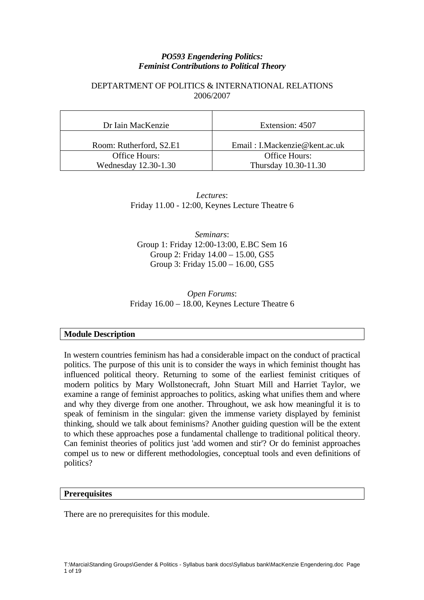## *PO593 Engendering Politics: Feminist Contributions to Political Theory*

## DEPTARTMENT OF POLITICS & INTERNATIONAL RELATIONS 2006/2007

| Dr Iain MacKenzie       | Extension: 4507               |
|-------------------------|-------------------------------|
| Room: Rutherford, S2.E1 | Email: I.Mackenzie@kent.ac.uk |
| Office Hours:           | Office Hours:                 |
| Wednesday 12.30-1.30    | Thursday 10.30-11.30          |

*Lectures*: Friday 11.00 - 12:00, Keynes Lecture Theatre 6

*Seminars*: Group 1: Friday 12:00-13:00, E.BC Sem 16 Group 2: Friday 14.00 – 15.00, GS5 Group 3: Friday 15.00 – 16.00, GS5

*Open Forums*: Friday 16.00 – 18.00, Keynes Lecture Theatre 6

## **Module Description**

In western countries feminism has had a considerable impact on the conduct of practical politics. The purpose of this unit is to consider the ways in which feminist thought has influenced political theory. Returning to some of the earliest feminist critiques of modern politics by Mary Wollstonecraft, John Stuart Mill and Harriet Taylor, we examine a range of feminist approaches to politics, asking what unifies them and where and why they diverge from one another. Throughout, we ask how meaningful it is to speak of feminism in the singular: given the immense variety displayed by feminist thinking, should we talk about feminisms? Another guiding question will be the extent to which these approaches pose a fundamental challenge to traditional political theory. Can feminist theories of politics just 'add women and stir'? Or do feminist approaches compel us to new or different methodologies, conceptual tools and even definitions of politics?

## **Prerequisites**

There are no prerequisites for this module.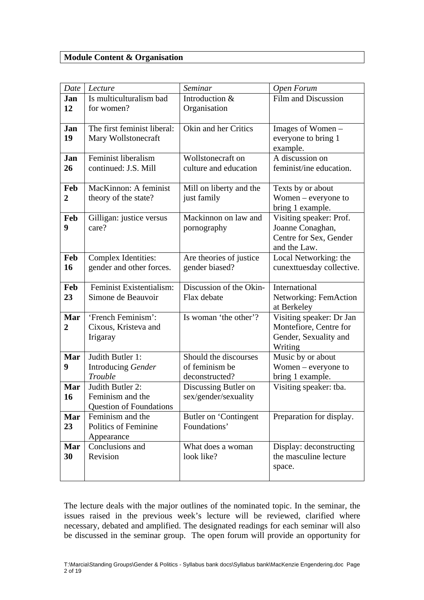## **Module Content & Organisation**

| Date           | Lecture                                                | Seminar                                   | Open Forum                                         |  |
|----------------|--------------------------------------------------------|-------------------------------------------|----------------------------------------------------|--|
| Jan<br>12      | Is multiculturalism bad<br>for women?                  | Introduction &<br>Organisation            | Film and Discussion                                |  |
|                |                                                        |                                           |                                                    |  |
| Jan            | The first feminist liberal:                            | Okin and her Critics                      | Images of Women –                                  |  |
| 19             | Mary Wollstonecraft                                    |                                           | everyone to bring 1                                |  |
|                |                                                        |                                           | example.                                           |  |
| Jan            | Feminist liberalism                                    | Wollstonecraft on                         | A discussion on                                    |  |
| 26             | continued: J.S. Mill                                   | culture and education                     | feminist/ine education.                            |  |
| Feb            | MacKinnon: A feminist                                  | Mill on liberty and the                   | Texts by or about                                  |  |
| $\overline{2}$ | theory of the state?                                   | just family                               | Women $-$ everyone to                              |  |
|                |                                                        |                                           | bring 1 example.                                   |  |
| Feb            | Gilligan: justice versus                               | Mackinnon on law and                      | Visiting speaker: Prof.                            |  |
| 9              | care?                                                  | pornography                               | Joanne Conaghan,                                   |  |
|                |                                                        |                                           | Centre for Sex, Gender                             |  |
|                |                                                        |                                           | and the Law.                                       |  |
| Feb<br>16      | <b>Complex Identities:</b><br>gender and other forces. | Are theories of justice<br>gender biased? | Local Networking: the<br>cunexttuesday collective. |  |
|                |                                                        |                                           |                                                    |  |
| Feb            | Feminist Existentialism:                               | Discussion of the Okin-                   | International                                      |  |
| 23             | Simone de Beauvoir                                     | Flax debate                               | <b>Networking: FemAction</b>                       |  |
|                |                                                        |                                           | at Berkeley                                        |  |
| Mar            | 'French Feminism':                                     | Is woman 'the other'?                     | Visiting speaker: Dr Jan                           |  |
| 2              | Cixous, Kristeva and                                   |                                           | Montefiore, Centre for                             |  |
|                | Irigaray                                               |                                           | Gender, Sexuality and                              |  |
| Mar            | Judith Butler 1:                                       | Should the discourses                     | Writing                                            |  |
| 9              | Introducing Gender                                     | of feminism be                            | Music by or about<br>Women $-$ everyone to         |  |
|                | Trouble                                                | deconstructed?                            | bring 1 example.                                   |  |
| Mar            | Judith Butler 2:                                       | Discussing Butler on                      | Visiting speaker: tba.                             |  |
| 16             | Feminism and the                                       | sex/gender/sexuality                      |                                                    |  |
|                | <b>Question of Foundations</b>                         |                                           |                                                    |  |
| Mar            | Feminism and the                                       | Butler on 'Contingent                     | Preparation for display.                           |  |
| 23             | Politics of Feminine                                   | Foundations'                              |                                                    |  |
|                | Appearance                                             |                                           |                                                    |  |
| Mar            | Conclusions and                                        | What does a woman                         | Display: deconstructing                            |  |
| 30             | Revision                                               | look like?                                | the masculine lecture                              |  |
|                |                                                        |                                           | space.                                             |  |
|                |                                                        |                                           |                                                    |  |

The lecture deals with the major outlines of the nominated topic. In the seminar, the issues raised in the previous week's lecture will be reviewed, clarified where necessary, debated and amplified. The designated readings for each seminar will also be discussed in the seminar group. The open forum will provide an opportunity for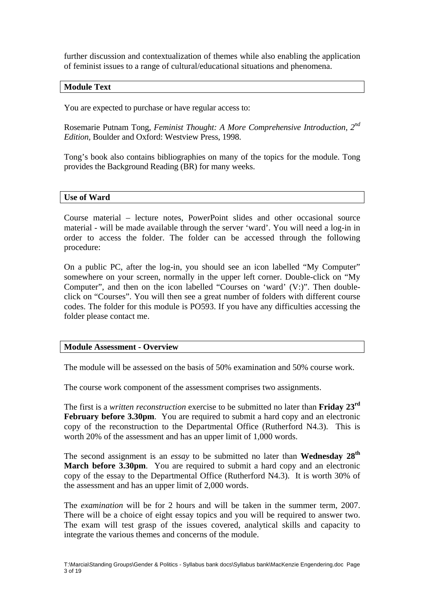further discussion and contextualization of themes while also enabling the application of feminist issues to a range of cultural/educational situations and phenomena.

## **Module Text**

You are expected to purchase or have regular access to:

Rosemarie Putnam Tong, *Feminist Thought: A More Comprehensive Introduction, 2nd Edition*, Boulder and Oxford: Westview Press, 1998.

Tong's book also contains bibliographies on many of the topics for the module. Tong provides the Background Reading (BR) for many weeks.

#### **Use of Ward**

Course material – lecture notes, PowerPoint slides and other occasional source material - will be made available through the server 'ward'. You will need a log-in in order to access the folder. The folder can be accessed through the following procedure:

On a public PC, after the log-in, you should see an icon labelled "My Computer" somewhere on your screen, normally in the upper left corner. Double-click on "My Computer", and then on the icon labelled "Courses on 'ward' (V:)". Then doubleclick on "Courses". You will then see a great number of folders with different course codes. The folder for this module is PO593. If you have any difficulties accessing the folder please contact me.

#### **Module Assessment - Overview**

The module will be assessed on the basis of 50% examination and 50% course work.

The course work component of the assessment comprises two assignments.

The first is a *written reconstruction* exercise to be submitted no later than **Friday 23rd February before 3.30pm.** You are required to submit a hard copy and an electronic copy of the reconstruction to the Departmental Office (Rutherford N4.3). This is worth 20% of the assessment and has an upper limit of 1,000 words.

The second assignment is an *essay* to be submitted no later than **Wednesday 28th March before 3.30pm.** You are required to submit a hard copy and an electronic copy of the essay to the Departmental Office (Rutherford N4.3). It is worth 30% of the assessment and has an upper limit of 2,000 words.

The *examination* will be for 2 hours and will be taken in the summer term, 2007. There will be a choice of eight essay topics and you will be required to answer two. The exam will test grasp of the issues covered, analytical skills and capacity to integrate the various themes and concerns of the module.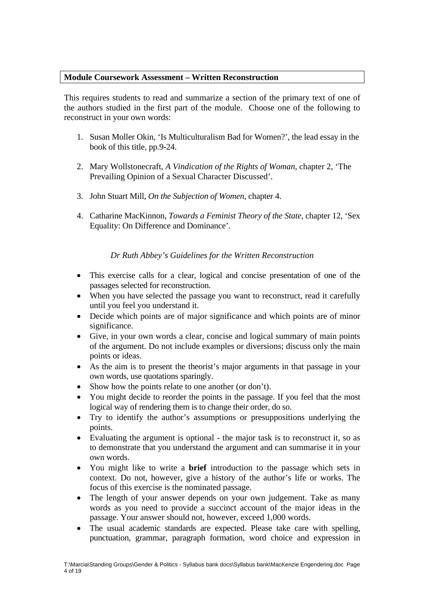## **Module Coursework Assessment – Written Reconstruction**

This requires students to read and summarize a section of the primary text of one of the authors studied in the first part of the module. Choose one of the following to reconstruct in your own words:

- 1. Susan Moller Okin, 'Is Multiculturalism Bad for Women?', the lead essay in the book of this title, pp.9-24.
- 2. Mary Wollstonecraft, *A Vindication of the Rights of Woman*, chapter 2, 'The Prevailing Opinion of a Sexual Character Discussed'.
- 3. John Stuart Mill, *On the Subjection of Women*, chapter 4.
- 4. Catharine MacKinnon, *Towards a Feminist Theory of the State*, chapter 12, 'Sex Equality: On Difference and Dominance'.

*Dr Ruth Abbey's Guidelines for the Written Reconstruction* 

- This exercise calls for a clear, logical and concise presentation of one of the passages selected for reconstruction.
- When you have selected the passage you want to reconstruct, read it carefully until you feel you understand it.
- Decide which points are of major significance and which points are of minor significance.
- Give, in your own words a clear, concise and logical summary of main points of the argument. Do not include examples or diversions; discuss only the main points or ideas.
- As the aim is to present the theorist's major arguments in that passage in your own words, use quotations sparingly.
- Show how the points relate to one another (or don't).
- You might decide to reorder the points in the passage. If you feel that the most logical way of rendering them is to change their order, do so.
- Try to identify the author's assumptions or presuppositions underlying the points.
- Evaluating the argument is optional the major task is to reconstruct it, so as to demonstrate that you understand the argument and can summarise it in your own words.
- You might like to write a **brief** introduction to the passage which sets in context. Do not, however, give a history of the author's life or works. The focus of this exercise is the nominated passage.
- The length of your answer depends on your own judgement. Take as many words as you need to provide a succinct account of the major ideas in the passage. Your answer should not, however, exceed 1,000 words.
- The usual academic standards are expected. Please take care with spelling, punctuation, grammar, paragraph formation, word choice and expression in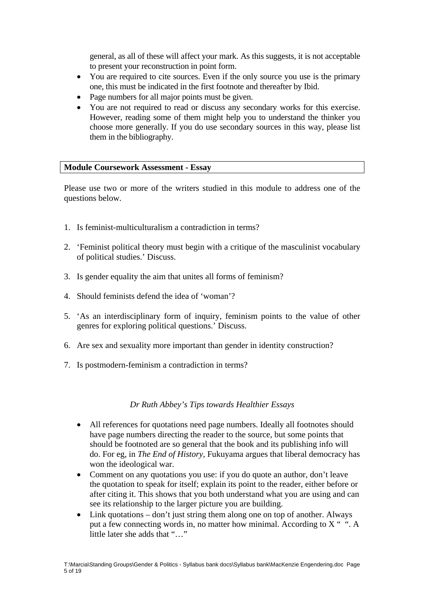general, as all of these will affect your mark. As this suggests, it is not acceptable to present your reconstruction in point form.

- You are required to cite sources. Even if the only source you use is the primary one, this must be indicated in the first footnote and thereafter by Ibid.
- Page numbers for all major points must be given.
- You are not required to read or discuss any secondary works for this exercise. However, reading some of them might help you to understand the thinker you choose more generally. If you do use secondary sources in this way, please list them in the bibliography.

## **Module Coursework Assessment - Essay**

Please use two or more of the writers studied in this module to address one of the questions below.

- 1. Is feminist-multiculturalism a contradiction in terms?
- 2. 'Feminist political theory must begin with a critique of the masculinist vocabulary of political studies.' Discuss.
- 3. Is gender equality the aim that unites all forms of feminism?
- 4. Should feminists defend the idea of 'woman'?
- 5. 'As an interdisciplinary form of inquiry, feminism points to the value of other genres for exploring political questions.' Discuss.
- 6. Are sex and sexuality more important than gender in identity construction?
- 7. Is postmodern-feminism a contradiction in terms?

## *Dr Ruth Abbey's Tips towards Healthier Essays*

- All references for quotations need page numbers. Ideally all footnotes should have page numbers directing the reader to the source, but some points that should be footnoted are so general that the book and its publishing info will do. For eg, in *The End of History,* Fukuyama argues that liberal democracy has won the ideological war.
- Comment on any quotations you use: if you do quote an author, don't leave the quotation to speak for itself; explain its point to the reader, either before or after citing it. This shows that you both understand what you are using and can see its relationship to the larger picture you are building.
- Link quotations don't just string them along one on top of another. Always put a few connecting words in, no matter how minimal. According to X " ". A little later she adds that "…"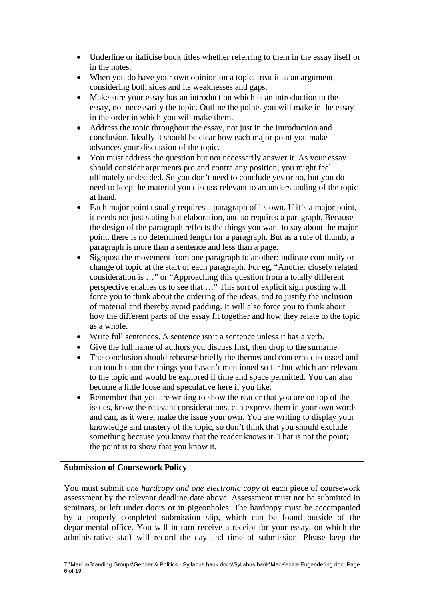- Underline or italicise book titles whether referring to them in the essay itself or in the notes.
- When you do have your own opinion on a topic, treat it as an argument, considering both sides and its weaknesses and gaps.
- Make sure your essay has an introduction which is an introduction to the essay, not necessarily the topic. Outline the points you will make in the essay in the order in which you will make them.
- Address the topic throughout the essay, not just in the introduction and conclusion. Ideally it should be clear how each major point you make advances your discussion of the topic.
- You must address the question but not necessarily answer it. As your essay should consider arguments pro and contra any position, you might feel ultimately undecided. So you don't need to conclude yes or no, but you do need to keep the material you discuss relevant to an understanding of the topic at hand.
- Each major point usually requires a paragraph of its own. If it's a major point, it needs not just stating but elaboration, and so requires a paragraph. Because the design of the paragraph reflects the things you want to say about the major point, there is no determined length for a paragraph. But as a rule of thumb, a paragraph is more than a sentence and less than a page.
- Signpost the movement from one paragraph to another: indicate continuity or change of topic at the start of each paragraph. For eg, "Another closely related consideration is …" or "Approaching this question from a totally different perspective enables us to see that …" This sort of explicit sign posting will force you to think about the ordering of the ideas, and to justify the inclusion of material and thereby avoid padding. It will also force you to think about how the different parts of the essay fit together and how they relate to the topic as a whole.
- Write full sentences. A sentence isn't a sentence unless it has a verb.
- Give the full name of authors you discuss first, then drop to the surname.
- The conclusion should rehearse briefly the themes and concerns discussed and can touch upon the things you haven't mentioned so far but which are relevant to the topic and would be explored if time and space permitted. You can also become a little loose and speculative here if you like.
- Remember that you are writing to show the reader that you are on top of the issues, know the relevant considerations, can express them in your own words and can, as it were, make the issue your own. You are writing to display your knowledge and mastery of the topic, so don't think that you should exclude something because you know that the reader knows it. That is not the point; the point is to show that you know it.

## **Submission of Coursework Policy**

You must submit *one hardcopy and one electronic copy* of each piece of coursework assessment by the relevant deadline date above. Assessment must not be submitted in seminars, or left under doors or in pigeonholes. The hardcopy must be accompanied by a properly completed submission slip, which can be found outside of the departmental office. You will in turn receive a receipt for your essay, on which the administrative staff will record the day and time of submission. Please keep the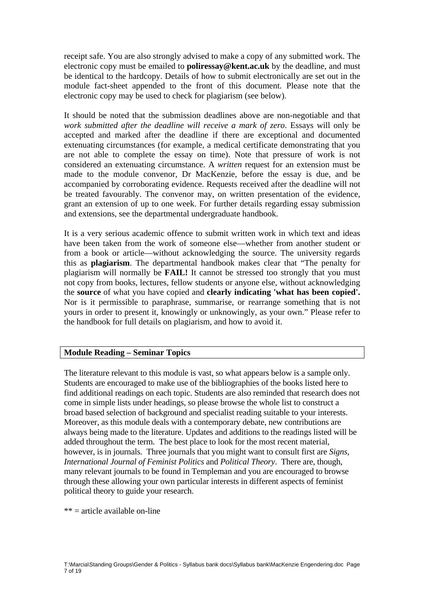receipt safe. You are also strongly advised to make a copy of any submitted work. The electronic copy must be emailed to **poliressay@kent.ac.uk** by the deadline, and must be identical to the hardcopy. Details of how to submit electronically are set out in the module fact-sheet appended to the front of this document. Please note that the electronic copy may be used to check for plagiarism (see below).

It should be noted that the submission deadlines above are non-negotiable and that *work submitted after the deadline will receive a mark of zero*. Essays will only be accepted and marked after the deadline if there are exceptional and documented extenuating circumstances (for example, a medical certificate demonstrating that you are not able to complete the essay on time). Note that pressure of work is not considered an extenuating circumstance. A *written* request for an extension must be made to the module convenor, Dr MacKenzie, before the essay is due, and be accompanied by corroborating evidence. Requests received after the deadline will not be treated favourably. The convenor may, on written presentation of the evidence, grant an extension of up to one week. For further details regarding essay submission and extensions, see the departmental undergraduate handbook.

It is a very serious academic offence to submit written work in which text and ideas have been taken from the work of someone else—whether from another student or from a book or article—without acknowledging the source. The university regards this as **plagiarism**. The departmental handbook makes clear that "The penalty for plagiarism will normally be **FAIL!** It cannot be stressed too strongly that you must not copy from books, lectures, fellow students or anyone else, without acknowledging the **source** of what you have copied and **clearly indicating 'what has been copied'.**  Nor is it permissible to paraphrase, summarise, or rearrange something that is not yours in order to present it, knowingly or unknowingly, as your own." Please refer to the handbook for full details on plagiarism, and how to avoid it.

## **Module Reading – Seminar Topics**

The literature relevant to this module is vast, so what appears below is a sample only. Students are encouraged to make use of the bibliographies of the books listed here to find additional readings on each topic. Students are also reminded that research does not come in simple lists under headings, so please browse the whole list to construct a broad based selection of background and specialist reading suitable to your interests. Moreover, as this module deals with a contemporary debate, new contributions are always being made to the literature. Updates and additions to the readings listed will be added throughout the term. The best place to look for the most recent material, however, is in journals. Three journals that you might want to consult first are *Signs*, *International Journal of Feminist Politics* and *Political Theory*. There are, though, many relevant journals to be found in Templeman and you are encouraged to browse through these allowing your own particular interests in different aspects of feminist political theory to guide your research.

 $** =$  article available on-line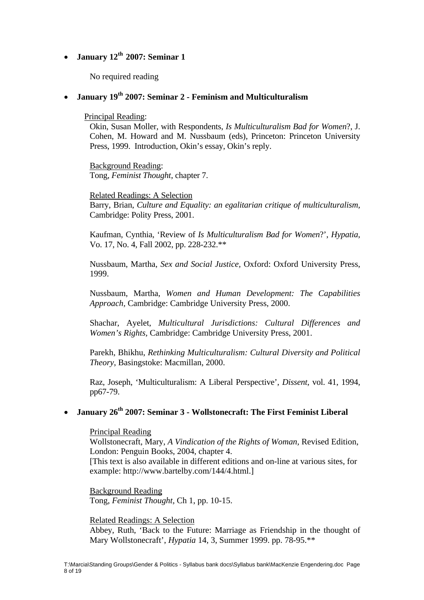## • **January 12th 2007: Seminar 1**

No required reading

## • **January 19th 2007: Seminar 2 - Feminism and Multiculturalism**

Principal Reading:

Okin, Susan Moller, with Respondents, *Is Multiculturalism Bad for Women*?, J. Cohen, M. Howard and M. Nussbaum (eds), Princeton: Princeton University Press, 1999. Introduction, Okin's essay, Okin's reply.

Background Reading: Tong, *Feminist Thought*, chapter 7.

Related Readings: A Selection Barry, Brian, *Culture and Equality: an egalitarian critique of multiculturalism,*  Cambridge: Polity Press, 2001.

Kaufman, Cynthia, 'Review of *Is Multiculturalism Bad for Women*?', *Hypatia*, Vo. 17, No. 4, Fall 2002, pp. 228-232.\*\*

Nussbaum, Martha, *Sex and Social Justice,* Oxford: Oxford University Press, 1999.

Nussbaum, Martha, *Women and Human Development: The Capabilities Approach,* Cambridge: Cambridge University Press, 2000.

Shachar, Ayelet, *Multicultural Jurisdictions: Cultural Differences and Women's Rights,* Cambridge: Cambridge University Press, 2001.

Parekh, Bhikhu, *Rethinking Multiculturalism: Cultural Diversity and Political Theory*, Basingstoke: Macmillan, 2000.

Raz, Joseph, 'Multiculturalism: A Liberal Perspective', *Dissent*, vol. 41, 1994, pp67-79.

## • **January 26<sup>th</sup> 2007: Seminar 3 - Wollstonecraft: The First Feminist Liberal**

Principal Reading

Wollstonecraft, Mary, *A Vindication of the Rights of Woman,* Revised Edition, London: Penguin Books, 2004, chapter 4.

[This text is also available in different editions and on-line at various sites, for example: http://www.bartelby.com/144/4.html.]

Background Reading Tong, *Feminist Thought*, Ch 1, pp. 10-15.

Related Readings: A Selection Abbey, Ruth, 'Back to the Future: Marriage as Friendship in the thought of Mary Wollstonecraft', *Hypatia* 14, 3, Summer 1999. pp. 78-95.\*\*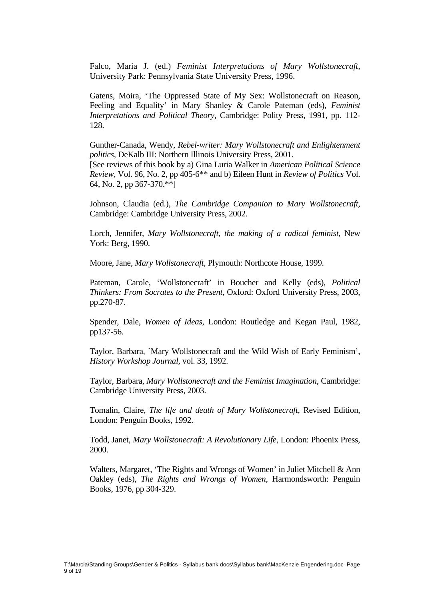Falco, Maria J. (ed.) *Feminist Interpretations of Mary Wollstonecraft,*  University Park: Pennsylvania State University Press, 1996.

Gatens, Moira, 'The Oppressed State of My Sex: Wollstonecraft on Reason, Feeling and Equality' in Mary Shanley & Carole Pateman (eds), *Feminist Interpretations and Political Theory*, Cambridge: Polity Press, 1991, pp. 112- 128.

Gunther-Canada, Wendy, *Rebel-writer: Mary Wollstonecraft and Enlightenment politics*, DeKalb III: Northern Illinois University Press, 2001. [See reviews of this book by a) Gina Luria Walker in *American Political Science* 

*Review*, Vol. 96, No. 2, pp 405-6\*\* and b) Eileen Hunt in *Review of Politics* Vol. 64, No. 2, pp 367-370.\*\*]

Johnson, Claudia (ed.), *The Cambridge Companion to Mary Wollstonecraft,*  Cambridge: Cambridge University Press, 2002.

Lorch, Jennifer, *Mary Wollstonecraft*, the making of a radical feminist, New York: Berg, 1990.

Moore, Jane, *Mary Wollstonecraft,* Plymouth: Northcote House, 1999.

Pateman, Carole, 'Wollstonecraft' in Boucher and Kelly (eds), *Political Thinkers: From Socrates to the Present*, Oxford: Oxford University Press, 2003, pp.270-87.

Spender, Dale, *Women of Ideas,* London: Routledge and Kegan Paul, 1982, pp137-56.

Taylor, Barbara, `Mary Wollstonecraft and the Wild Wish of Early Feminism', *History Workshop Journal,* vol. 33, 1992.

Taylor, Barbara, *Mary Wollstonecraft and the Feminist Imagination*, Cambridge: Cambridge University Press, 2003.

Tomalin, Claire, *The life and death of Mary Wollstonecraft*, Revised Edition, London: Penguin Books, 1992.

Todd, Janet, *Mary Wollstonecraft: A Revolutionary Life*, London: Phoenix Press, 2000.

Walters, Margaret, 'The Rights and Wrongs of Women' in Juliet Mitchell & Ann Oakley (eds), *The Rights and Wrongs of Women*, Harmondsworth: Penguin Books, 1976, pp 304-329.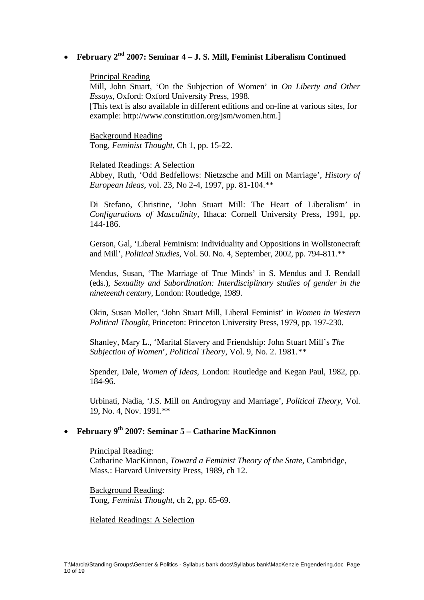# • **February 2nd 2007: Seminar 4 – J. S. Mill, Feminist Liberalism Continued**

#### Principal Reading

Mill, John Stuart, 'On the Subjection of Women' in *On Liberty and Other Essays*, Oxford: Oxford University Press, 1998.

[This text is also available in different editions and on-line at various sites, for example: http://www.constitution.org/jsm/women.htm.]

Background Reading Tong, *Feminist Thought*, Ch 1, pp. 15-22.

#### Related Readings: A Selection

Abbey, Ruth, 'Odd Bedfellows: Nietzsche and Mill on Marriage', *History of European Ideas,* vol. 23, No 2-4, 1997, pp. 81-104.\*\*

Di Stefano, Christine, 'John Stuart Mill: The Heart of Liberalism' in *Configurations of Masculinity,* Ithaca: Cornell University Press, 1991, pp. 144-186.

Gerson, Gal, 'Liberal Feminism: Individuality and Oppositions in Wollstonecraft and Mill', *Political Studies*, Vol. 50. No. 4, September, 2002, pp. 794-811.\*\*

Mendus, Susan, 'The Marriage of True Minds' in S. Mendus and J. Rendall (eds.), *Sexuality and Subordination: Interdisciplinary studies of gender in the nineteenth century*, London: Routledge, 1989.

Okin, Susan Moller, 'John Stuart Mill, Liberal Feminist' in *Women in Western Political Thought*, Princeton: Princeton University Press, 1979, pp. 197-230.

Shanley, Mary L., 'Marital Slavery and Friendship: John Stuart Mill's *The Subjection of Women*'*, Political Theory,* Vol. 9, No. 2. 1981*.\*\** 

Spender, Dale, *Women of Ideas,* London: Routledge and Kegan Paul, 1982, pp. 184-96.

Urbinati, Nadia, 'J.S. Mill on Androgyny and Marriage', *Political Theory*, Vol. 19, No. 4, Nov. 1991.\*\*

# • **February 9th 2007: Seminar 5 – Catharine MacKinnon**

Principal Reading: Catharine MacKinnon, *Toward a Feminist Theory of the State*, Cambridge, Mass.: Harvard University Press, 1989, ch 12.

Background Reading: Tong, *Feminist Thought*, ch 2, pp. 65-69.

Related Readings: A Selection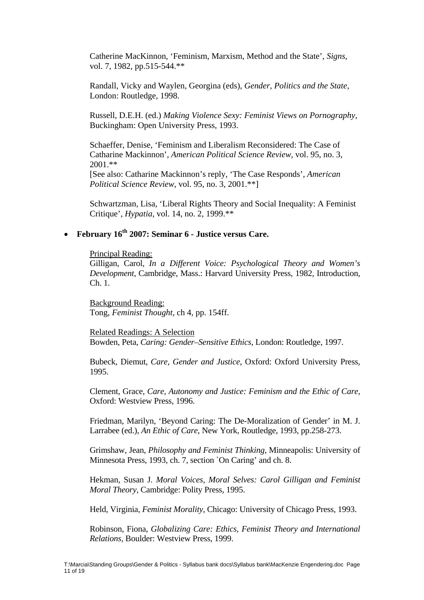Catherine MacKinnon, 'Feminism, Marxism, Method and the State', *Signs*, vol. 7, 1982, pp.515-544.\*\*

Randall, Vicky and Waylen, Georgina (eds), *Gender, Politics and the State,*  London: Routledge, 1998.

Russell, D.E.H. (ed.) *Making Violence Sexy: Feminist Views on Pornography,*  Buckingham: Open University Press, 1993.

Schaeffer, Denise, 'Feminism and Liberalism Reconsidered: The Case of Catharine Mackinnon', *American Political Science Review*, vol. 95, no. 3, 2001.\*\*

[See also: Catharine Mackinnon's reply, 'The Case Responds', *American Political Science Review*, vol. 95, no. 3, 2001.\*\*]

Schwartzman, Lisa, 'Liberal Rights Theory and Social Inequality: A Feminist Critique', *Hypatia*, vol. 14, no. 2, 1999.\*\*

# • **February 16th 2007: Seminar 6 - Justice versus Care.**

Principal Reading:

Gilligan, Carol, *In a Different Voice: Psychological Theory and Women's Development*, Cambridge, Mass.: Harvard University Press, 1982, Introduction, Ch. 1.

Background Reading: Tong, *Feminist Thought*, ch 4, pp. 154ff.

Related Readings: A Selection Bowden, Peta, *Caring: Gender–Sensitive Ethics*, London: Routledge, 1997.

Bubeck, Diemut, *Care, Gender and Justice*, Oxford: Oxford University Press, 1995.

Clement, Grace, *Care, Autonomy and Justice: Feminism and the Ethic of Care,*  Oxford: Westview Press, 1996.

Friedman, Marilyn, 'Beyond Caring: The De-Moralization of Gender' in M. J. Larrabee (ed.), *An Ethic of Care*, New York, Routledge, 1993, pp.258-273.

Grimshaw, Jean, *Philosophy and Feminist Thinking*, Minneapolis: University of Minnesota Press, 1993, ch. 7, section `On Caring' and ch. 8.

Hekman, Susan J. *Moral Voices, Moral Selves: Carol Gilligan and Feminist Moral Theory,* Cambridge: Polity Press, 1995.

Held, Virginia, *Feminist Morality*, Chicago: University of Chicago Press, 1993.

Robinson, Fiona, *Globalizing Care: Ethics, Feminist Theory and International Relations,* Boulder: Westview Press, 1999.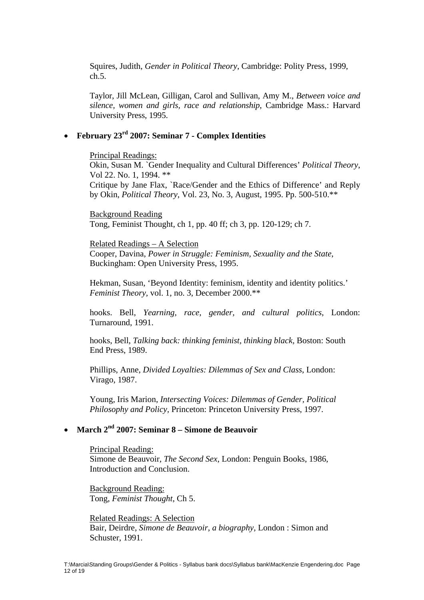Squires, Judith, *Gender in Political Theory*, Cambridge: Polity Press, 1999, ch.5.

Taylor, Jill McLean, Gilligan, Carol and Sullivan, Amy M., *Between voice and silence, women and girls, race and relationship*, Cambridge Mass.: Harvard University Press, 1995.

## • **February 23rd 2007: Seminar 7 - Complex Identities**

Principal Readings:

Okin, Susan M. `Gender Inequality and Cultural Differences' *Political Theory*, Vol 22. No. 1, 1994. \*\* Critique by Jane Flax, `Race/Gender and the Ethics of Difference' and Reply by Okin, *Political Theory*, Vol. 23, No. 3, August, 1995. Pp. 500-510.\*\*

Background Reading Tong, Feminist Thought, ch 1, pp. 40 ff; ch 3, pp. 120-129; ch 7.

Related Readings – A Selection Cooper, Davina, *Power in Struggle: Feminism, Sexuality and the State*, Buckingham: Open University Press, 1995.

Hekman, Susan, 'Beyond Identity: feminism, identity and identity politics.' *Feminist Theory,* vol. 1, no. 3, December 2000.\*\*

hooks. Bell, *Yearning, race, gender, and cultural politics*, London: Turnaround, 1991.

hooks, Bell, *Talking back: thinking feminist, thinking black,* Boston: South End Press, 1989.

Phillips, Anne, *Divided Loyalties: Dilemmas of Sex and Class*, London: Virago, 1987.

Young, Iris Marion, *Intersecting Voices: Dilemmas of Gender, Political Philosophy and Policy,* Princeton: Princeton University Press, 1997.

# • **March 2nd 2007: Seminar 8 – Simone de Beauvoir**

Principal Reading: Simone de Beauvoir, *The Second Sex*, London: Penguin Books, 1986, Introduction and Conclusion.

Background Reading: Tong, *Feminist Thought*, Ch 5.

Related Readings: A Selection Bair, Deirdre, *Simone de Beauvoir, a biography,* London : Simon and Schuster, 1991.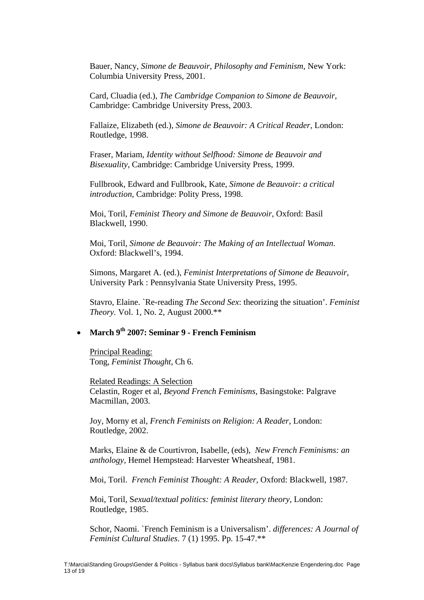Bauer, Nancy, *Simone de Beauvoir, Philosophy and Feminism*, New York: Columbia University Press, 2001.

Card, Cluadia (ed.), *The Cambridge Companion to Simone de Beauvoir,*  Cambridge: Cambridge University Press, 2003.

Fallaize, Elizabeth (ed.), *Simone de Beauvoir: A Critical Reader,* London: Routledge, 1998.

Fraser, Mariam, *Identity without Selfhood: Simone de Beauvoir and Bisexuality,* Cambridge: Cambridge University Press, 1999.

Fullbrook, Edward and Fullbrook, Kate, *Simone de Beauvoir: a critical introduction*, Cambridge: Polity Press, 1998.

Moi, Toril, *Feminist Theory and Simone de Beauvoir*, Oxford: Basil Blackwell, 1990.

Moi, Toril, *Simone de Beauvoir: The Making of an Intellectual Woman*. Oxford: Blackwell's, 1994.

Simons, Margaret A. (ed.), *Feminist Interpretations of Simone de Beauvoir*, University Park : Pennsylvania State University Press, 1995.

Stavro, Elaine. `Re-reading *The Second Sex*: theorizing the situation'. *Feminist Theory.* Vol. 1, No. 2, August 2000.\*\*

# • **March 9th 2007: Seminar 9 - French Feminism**

Principal Reading: Tong, *Feminist Thought*, Ch 6.

Related Readings: A Selection Celastin, Roger et al, *Beyond French Feminisms,* Basingstoke: Palgrave Macmillan, 2003.

Joy, Morny et al, *French Feminists on Religion: A Reader,* London: Routledge, 2002.

Marks, Elaine & de Courtivron, Isabelle, (eds), *New French Feminisms: an anthology,* Hemel Hempstead: Harvester Wheatsheaf, 1981.

Moi, Toril. *French Feminist Thought: A Reader,* Oxford: Blackwell, 1987.

Moi, Toril, S*exual/textual politics: feminist literary theory*, London: Routledge, 1985.

Schor, Naomi. `French Feminism is a Universalism'. *differences: A Journal of Feminist Cultural Studies*. 7 (1) 1995. Pp. 15-47.\*\*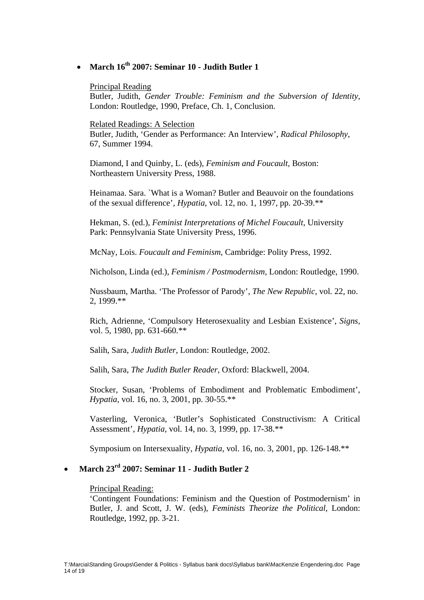# • **March 16th 2007: Seminar 10 - Judith Butler 1**

#### Principal Reading

Butler, Judith, *Gender Trouble: Feminism and the Subversion of Identity*, London: Routledge, 1990, Preface, Ch. 1, Conclusion.

#### Related Readings: A Selection

Butler, Judith, 'Gender as Performance: An Interview', *Radical Philosophy*, 67, Summer 1994.

Diamond, I and Quinby, L. (eds), *Feminism and Foucault,* Boston: Northeastern University Press, 1988.

Heinamaa. Sara. `What is a Woman? Butler and Beauvoir on the foundations of the sexual difference', *Hypatia*, vol. 12, no. 1, 1997, pp. 20-39.\*\*

Hekman, S. (ed.), *Feminist Interpretations of Michel Foucault,* University Park: Pennsylvania State University Press, 1996.

McNay, Lois. *Foucault and Feminism*, Cambridge: Polity Press, 1992.

Nicholson, Linda (ed.), *Feminism / Postmodernism*, London: Routledge, 1990.

Nussbaum, Martha. 'The Professor of Parody', *The New Republic*, vol*.* 22, no. 2, 1999.\*\*

Rich, Adrienne, 'Compulsory Heterosexuality and Lesbian Existence', *Signs,* vol. 5, 1980, pp. 631-660.\*\*

Salih, Sara, *Judith Butler*, London: Routledge, 2002.

Salih, Sara, *The Judith Butler Reader*, Oxford: Blackwell, 2004.

Stocker, Susan, 'Problems of Embodiment and Problematic Embodiment', *Hypatia,* vol. 16, no. 3, 2001, pp. 30-55.\*\*

Vasterling, Veronica, 'Butler's Sophisticated Constructivism: A Critical Assessment', *Hypatia,* vol. 14, no. 3, 1999, pp. 17-38.\*\*

Symposium on Intersexuality, *Hypatia*, vol. 16, no. 3, 2001, pp. 126-148.\*\*

# • **March 23rd 2007: Seminar 11 - Judith Butler 2**

#### Principal Reading:

'Contingent Foundations: Feminism and the Question of Postmodernism' in Butler, J. and Scott, J. W. (eds), *Feminists Theorize the Political*, London: Routledge, 1992, pp. 3-21.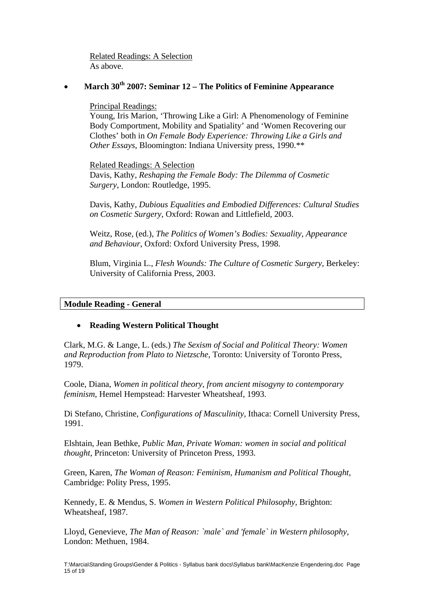Related Readings: A Selection As above.

## • **March 30th 2007: Seminar 12 – The Politics of Feminine Appearance**

## Principal Readings:

Young, Iris Marion, 'Throwing Like a Girl: A Phenomenology of Feminine Body Comportment, Mobility and Spatiality' and 'Women Recovering our Clothes' both in *On Female Body Experience: Throwing Like a Girls and Other Essays*, Bloomington: Indiana University press, 1990.\*\*

Related Readings: A Selection

Davis, Kathy, *Reshaping the Female Body: The Dilemma of Cosmetic Surgery*, London: Routledge, 1995.

Davis, Kathy, *Dubious Equalities and Embodied Differences: Cultural Studies on Cosmetic Surgery*, Oxford: Rowan and Littlefield, 2003.

Weitz, Rose, (ed.), *The Politics of Women's Bodies: Sexuality, Appearance and Behaviour*, Oxford: Oxford University Press, 1998.

Blum, Virginia L., *Flesh Wounds: The Culture of Cosmetic Surgery*, Berkeley: University of California Press, 2003.

## **Module Reading - General**

## • **Reading Western Political Thought**

Clark, M.G. & Lange, L. (eds.) *The Sexism of Social and Political Theory: Women and Reproduction from Plato to Nietzsche,* Toronto: University of Toronto Press, 1979.

Coole, Diana, *Women in political theory, from ancient misogyny to contemporary feminism*, Hemel Hempstead: Harvester Wheatsheaf, 1993.

Di Stefano, Christine, *Configurations of Masculinity,* Ithaca: Cornell University Press, 1991.

Elshtain, Jean Bethke, *Public Man, Private Woman: women in social and political thought*, Princeton: University of Princeton Press, 1993.

Green, Karen, *The Woman of Reason: Feminism, Humanism and Political Thought,*  Cambridge: Polity Press, 1995.

Kennedy, E. & Mendus, S. *Women in Western Political Philosophy,* Brighton: Wheatsheaf, 1987.

Lloyd, Genevieve, *The Man of Reason: `male` and 'female` in Western philosophy,*  London: Methuen, 1984.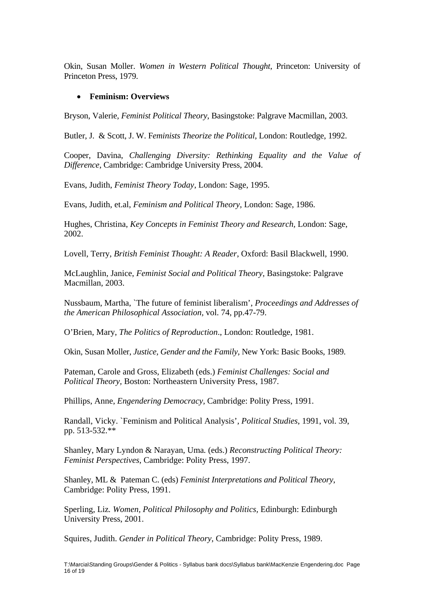Okin, Susan Moller. *Women in Western Political Thought*, Princeton: University of Princeton Press, 1979.

## • **Feminism: Overviews**

Bryson, Valerie, *Feminist Political Theory*, Basingstoke: Palgrave Macmillan, 2003.

Butler, J. & Scott, J. W. F*eminists Theorize the Political*, London: Routledge, 1992.

Cooper, Davina, *Challenging Diversity: Rethinking Equality and the Value of Difference*, Cambridge: Cambridge University Press, 2004.

Evans, Judith, *Feminist Theory Today*, London: Sage, 1995.

Evans, Judith, et.al, *Feminism and Political Theory,* London: Sage, 1986.

Hughes, Christina, *Key Concepts in Feminist Theory and Research,* London: Sage, 2002.

Lovell, Terry, *British Feminist Thought: A Reader*, Oxford: Basil Blackwell, 1990.

McLaughlin, Janice, *Feminist Social and Political Theory*, Basingstoke: Palgrave Macmillan, 2003.

Nussbaum, Martha, `The future of feminist liberalism', *Proceedings and Addresses of the American Philosophical Association,* vol. 74, pp.47-79.

O'Brien, Mary, *The Politics of Reproduction*., London: Routledge, 1981.

Okin, Susan Moller, *Justice, Gender and the Family,* New York: Basic Books, 1989.

Pateman, Carole and Gross, Elizabeth (eds.) *Feminist Challenges: Social and Political Theory,* Boston: Northeastern University Press, 1987.

Phillips, Anne, *Engendering Democracy,* Cambridge: Polity Press, 1991.

Randall, Vicky. `Feminism and Political Analysis'*, Political Studies*, 1991, vol. 39, pp. 513-532.\*\*

Shanley, Mary Lyndon & Narayan, Uma*.* (eds.) *Reconstructing Political Theory: Feminist Perspectives*, Cambridge: Polity Press, 1997.

Shanley, ML & Pateman C. (eds) *Feminist Interpretations and Political Theory*, Cambridge: Polity Press, 1991.

Sperling, Liz*. Women, Political Philosophy and Politics,* Edinburgh: Edinburgh University Press, 2001.

Squires, Judith. *Gender in Political Theory*, Cambridge: Polity Press, 1989.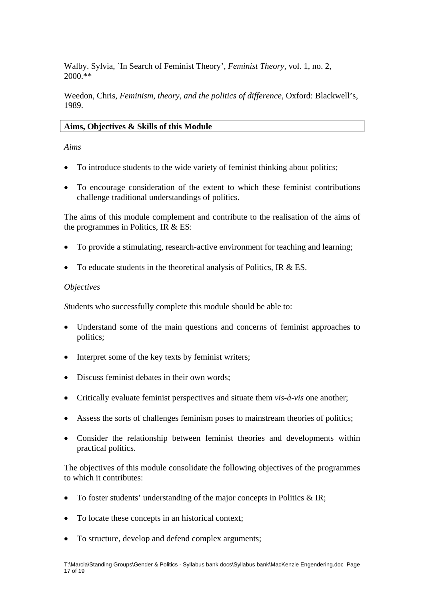Walby. Sylvia, `In Search of Feminist Theory', *Feminist Theory,* vol. 1, no. 2, 2000.\*\*

Weedon, Chris, *Feminism, theory, and the politics of difference,* Oxford: Blackwell's, 1989.

## **Aims, Objectives & Skills of this Module**

*Aims* 

- To introduce students to the wide variety of feminist thinking about politics;
- To encourage consideration of the extent to which these feminist contributions challenge traditional understandings of politics.

The aims of this module complement and contribute to the realisation of the aims of the programmes in Politics, IR & ES:

- To provide a stimulating, research-active environment for teaching and learning;
- To educate students in the theoretical analysis of Politics, IR & ES.

## *Objectives*

*S*tudents who successfully complete this module should be able to:

- Understand some of the main questions and concerns of feminist approaches to politics;
- Interpret some of the key texts by feminist writers;
- Discuss feminist debates in their own words;
- Critically evaluate feminist perspectives and situate them *vis-à-vis* one another;
- Assess the sorts of challenges feminism poses to mainstream theories of politics;
- Consider the relationship between feminist theories and developments within practical politics.

The objectives of this module consolidate the following objectives of the programmes to which it contributes:

- To foster students' understanding of the major concepts in Politics & IR;
- To locate these concepts in an historical context;
- To structure, develop and defend complex arguments;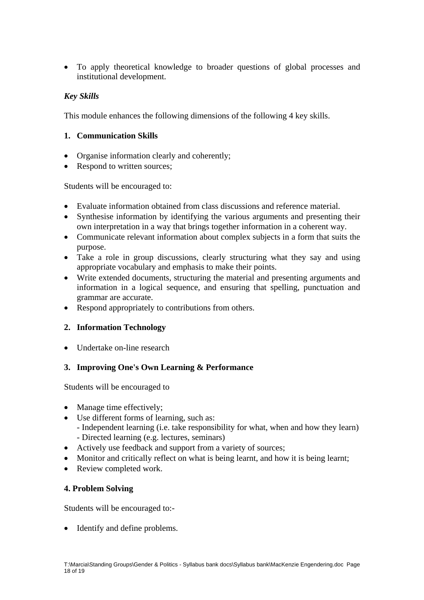• To apply theoretical knowledge to broader questions of global processes and institutional development.

# *Key Skills*

This module enhances the following dimensions of the following 4 key skills.

# **1. Communication Skills**

- Organise information clearly and coherently;
- Respond to written sources;

Students will be encouraged to:

- Evaluate information obtained from class discussions and reference material.
- Synthesise information by identifying the various arguments and presenting their own interpretation in a way that brings together information in a coherent way.
- Communicate relevant information about complex subjects in a form that suits the purpose.
- Take a role in group discussions, clearly structuring what they say and using appropriate vocabulary and emphasis to make their points.
- Write extended documents, structuring the material and presenting arguments and information in a logical sequence, and ensuring that spelling, punctuation and grammar are accurate.
- Respond appropriately to contributions from others.

# **2. Information Technology**

• Undertake on-line research

# **3. Improving One's Own Learning & Performance**

Students will be encouraged to

- Manage time effectively;
- Use different forms of learning, such as:
	- Independent learning (i.e. take responsibility for what, when and how they learn) - Directed learning (e.g. lectures, seminars)
- Actively use feedback and support from a variety of sources;
- Monitor and critically reflect on what is being learnt, and how it is being learnt;
- Review completed work.

## **4. Problem Solving**

Students will be encouraged to:-

• Identify and define problems.